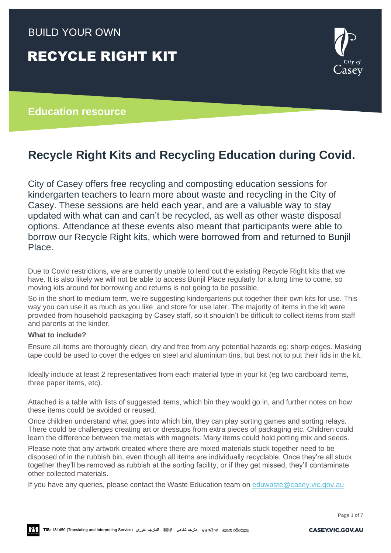### BUILD YOUR OWN

## RECYCLE RIGHT KIT

# isev

#### **Education resource**

## **Recycle Right Kits and Recycling Education during Covid.**

City of Casey offers free recycling and composting education sessions for kindergarten teachers to learn more about waste and recycling in the City of Casey. These sessions are held each year, and are a valuable way to stay updated with what can and can't be recycled, as well as other waste disposal options. Attendance at these events also meant that participants were able to borrow our Recycle Right kits, which were borrowed from and returned to Bunjil Place.

Due to Covid restrictions, we are currently unable to lend out the existing Recycle Right kits that we have. It is also likely we will not be able to access Bunjil Place regularly for a long time to come, so moving kits around for borrowing and returns is not going to be possible.

So in the short to medium term, we're suggesting kindergartens put together their own kits for use. This way you can use it as much as you like, and store for use later. The majority of items in the kit were provided from household packaging by Casey staff, so it shouldn't be difficult to collect items from staff and parents at the kinder.

#### **What to include?**

Ensure all items are thoroughly clean, dry and free from any potential hazards eg: sharp edges. Masking tape could be used to cover the edges on steel and aluminium tins, but best not to put their lids in the kit.

Ideally include at least 2 representatives from each material type in your kit (eg two cardboard items, three paper items, etc).

Attached is a table with lists of suggested items, which bin they would go in, and further notes on how these items could be avoided or reused.

Once children understand what goes into which bin, they can play sorting games and sorting relays. There could be challenges creating art or dressups from extra pieces of packaging etc. Children could learn the difference between the metals with magnets. Many items could hold potting mix and seeds.

Please note that any artwork created where there are mixed materials stuck together need to be disposed of in the rubbish bin, even though all items are individually recyclable. Once they're all stuck together they'll be removed as rubbish at the sorting facility, or if they get missed, they'll contaminate other collected materials.

If you have any queries, please contact the Waste Education team on eduwaste @casey.vic.gov.au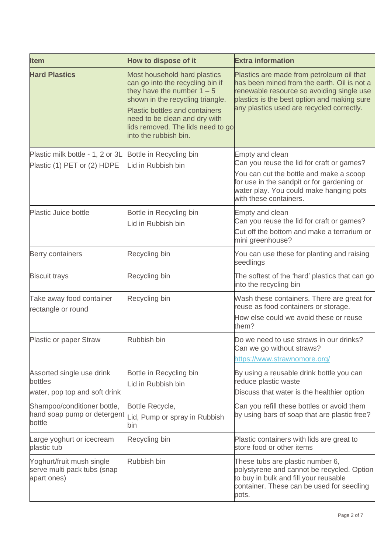| <b>Item</b>                                                             | How to dispose of it                                                                                                                                                                                                                                                         | <b>Extra information</b>                                                                                                                                                                                                          |
|-------------------------------------------------------------------------|------------------------------------------------------------------------------------------------------------------------------------------------------------------------------------------------------------------------------------------------------------------------------|-----------------------------------------------------------------------------------------------------------------------------------------------------------------------------------------------------------------------------------|
| <b>Hard Plastics</b>                                                    | Most household hard plastics<br>can go into the recycling bin if<br>they have the number $1 - 5$<br>shown in the recycling triangle.<br><b>Plastic bottles and containers</b><br>need to be clean and dry with<br>lids removed. The lids need to go<br>into the rubbish bin. | Plastics are made from petroleum oil that<br>has been mined from the earth. Oil is not a<br>renewable resource so avoiding single use<br>plastics is the best option and making sure<br>any plastics used are recycled correctly. |
| Plastic milk bottle - 1, 2 or 3L<br>Plastic (1) PET or (2) HDPE         | Bottle in Recycling bin<br>Lid in Rubbish bin                                                                                                                                                                                                                                | <b>Empty and clean</b><br>Can you reuse the lid for craft or games?<br>You can cut the bottle and make a scoop<br>for use in the sandpit or for gardening or<br>water play. You could make hanging pots<br>with these containers. |
| Plastic Juice bottle                                                    | Bottle in Recycling bin<br>Lid in Rubbish bin                                                                                                                                                                                                                                | <b>Empty and clean</b><br>Can you reuse the lid for craft or games?<br>Cut off the bottom and make a terrarium or<br>mini greenhouse?                                                                                             |
| Berry containers                                                        | Recycling bin                                                                                                                                                                                                                                                                | You can use these for planting and raising<br>seedlings                                                                                                                                                                           |
| <b>Biscuit trays</b>                                                    | Recycling bin                                                                                                                                                                                                                                                                | The softest of the 'hard' plastics that can go<br>into the recycling bin                                                                                                                                                          |
| Take away food container<br>rectangle or round                          | Recycling bin                                                                                                                                                                                                                                                                | Wash these containers. There are great for<br>reuse as food containers or storage.<br>How else could we avoid these or reuse<br>them?                                                                                             |
| <b>Plastic or paper Straw</b>                                           | Rubbish bin                                                                                                                                                                                                                                                                  | Do we need to use straws in our drinks?<br>Can we go without straws?<br>https://www.strawnomore.org/                                                                                                                              |
| Assorted single use drink<br>bottles<br>water, pop top and soft drink   | Bottle in Recycling bin<br>Lid in Rubbish bin                                                                                                                                                                                                                                | By using a reusable drink bottle you can<br>reduce plastic waste<br>Discuss that water is the healthier option                                                                                                                    |
| Shampoo/conditioner bottle,<br>hand soap pump or detergent<br>bottle    | Bottle Recycle,<br>Lid, Pump or spray in Rubbish<br>bin                                                                                                                                                                                                                      | Can you refill these bottles or avoid them<br>by using bars of soap that are plastic free?                                                                                                                                        |
| Large yoghurt or icecream<br>plastic tub                                | Recycling bin                                                                                                                                                                                                                                                                | Plastic containers with lids are great to<br>store food or other items                                                                                                                                                            |
| Yoghurt/fruit mush single<br>serve multi pack tubs (snap<br>apart ones) | Rubbish bin                                                                                                                                                                                                                                                                  | These tubs are plastic number 6,<br>polystyrene and cannot be recycled. Option<br>to buy in bulk and fill your reusable<br>container. These can be used for seedling<br>pots.                                                     |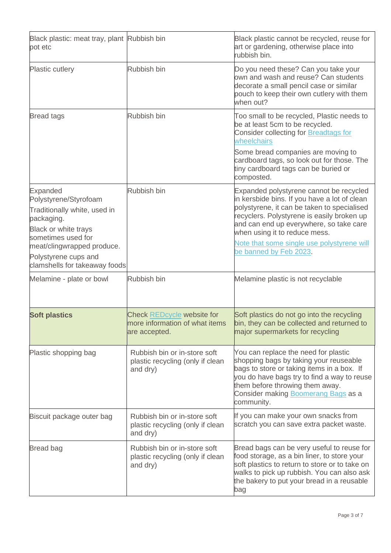| Black plastic: meat tray, plant Rubbish bin<br>pot etc                                                                                                                                                                      |                                                                               | Black plastic cannot be recycled, reuse for<br>art or gardening, otherwise place into<br>rubbish bin.                                                                                                                                                                                                                                    |
|-----------------------------------------------------------------------------------------------------------------------------------------------------------------------------------------------------------------------------|-------------------------------------------------------------------------------|------------------------------------------------------------------------------------------------------------------------------------------------------------------------------------------------------------------------------------------------------------------------------------------------------------------------------------------|
| <b>Plastic cutlery</b>                                                                                                                                                                                                      | Rubbish bin                                                                   | Do you need these? Can you take your<br>own and wash and reuse? Can students<br>decorate a small pencil case or similar<br>pouch to keep their own cutlery with them<br>when out?                                                                                                                                                        |
| <b>Bread tags</b>                                                                                                                                                                                                           | Rubbish bin                                                                   | Too small to be recycled, Plastic needs to<br>be at least 5cm to be recycled.<br><b>Consider collecting for Breadtags for</b><br>wheelchairs<br>Some bread companies are moving to<br>cardboard tags, so look out for those. The<br>tiny cardboard tags can be buried or<br>composted.                                                   |
| <b>Expanded</b><br>Polystyrene/Styrofoam<br>Traditionally white, used in<br>packaging.<br>Black or white trays<br>sometimes used for<br>meat/clingwrapped produce.<br>Polystyrene cups and<br>clamshells for takeaway foods | Rubbish bin                                                                   | Expanded polystyrene cannot be recycled<br>in kersbide bins. If you have a lot of clean<br>polystyrene, it can be taken to specialised<br>recyclers. Polystyrene is easily broken up<br>and can end up everywhere, so take care<br>when using it to reduce mess.<br>Note that some single use polystyrene will<br>be banned by Feb 2023. |
| Melamine - plate or bowl                                                                                                                                                                                                    | Rubbish bin                                                                   | Melamine plastic is not recyclable                                                                                                                                                                                                                                                                                                       |
| <b>Soft plastics</b>                                                                                                                                                                                                        | Check REDcycle website for<br>more information of what items<br>are accepted. | Soft plastics do not go into the recycling<br>bin, they can be collected and returned to<br>major supermarkets for recycling                                                                                                                                                                                                             |
| Plastic shopping bag                                                                                                                                                                                                        | Rubbish bin or in-store soft<br>plastic recycling (only if clean<br>and dry)  | You can replace the need for plastic<br>shopping bags by taking your reuseable<br>bags to store or taking items in a box. If<br>you do have bags try to find a way to reuse<br>them before throwing them away.<br>Consider making <b>Boomerang Bags</b> as a<br>community.                                                               |
| Biscuit package outer bag                                                                                                                                                                                                   | Rubbish bin or in-store soft<br>plastic recycling (only if clean<br>and dry)  | If you can make your own snacks from<br>scratch you can save extra packet waste.                                                                                                                                                                                                                                                         |
| <b>Bread bag</b>                                                                                                                                                                                                            | Rubbish bin or in-store soft<br>plastic recycling (only if clean<br>and dry)  | Bread bags can be very useful to reuse for<br>food storage, as a bin liner, to store your<br>soft plastics to return to store or to take on<br>walks to pick up rubbish. You can also ask<br>the bakery to put your bread in a reusable<br>bag                                                                                           |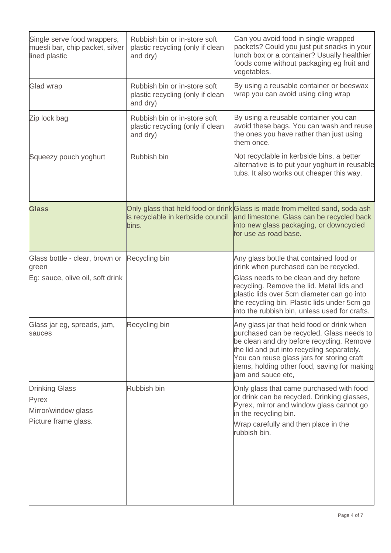| Single serve food wrappers,<br>muesli bar, chip packet, silver<br>lined plastic | Rubbish bin or in-store soft<br>plastic recycling (only if clean<br>and dry) | Can you avoid food in single wrapped<br>packets? Could you just put snacks in your<br>lunch box or a container? Usually healthier<br>foods come without packaging eg fruit and<br>vegetables.                                                                                                                          |
|---------------------------------------------------------------------------------|------------------------------------------------------------------------------|------------------------------------------------------------------------------------------------------------------------------------------------------------------------------------------------------------------------------------------------------------------------------------------------------------------------|
| <b>Glad wrap</b>                                                                | Rubbish bin or in-store soft<br>plastic recycling (only if clean<br>and dry) | By using a reusable container or beeswax<br>wrap you can avoid using cling wrap                                                                                                                                                                                                                                        |
| Zip lock bag                                                                    | Rubbish bin or in-store soft<br>plastic recycling (only if clean<br>and dry) | By using a reusable container you can<br>avoid these bags. You can wash and reuse<br>the ones you have rather than just using<br>them once.                                                                                                                                                                            |
| Squeezy pouch yoghurt                                                           | Rubbish bin                                                                  | Not recyclable in kerbside bins, a better<br>alternative is to put your yoghurt in reusable<br>tubs. It also works out cheaper this way.                                                                                                                                                                               |
| <b>Glass</b>                                                                    | is recyclable in kerbside council<br>bins.                                   | Only glass that held food or drink Glass is made from melted sand, soda ash<br>and limestone. Glass can be recycled back<br>into new glass packaging, or downcycled<br>for use as road base.                                                                                                                           |
| Glass bottle - clear, brown or<br>green<br>Eg: sauce, olive oil, soft drink     | Recycling bin                                                                | Any glass bottle that contained food or<br>drink when purchased can be recycled.<br>Glass needs to be clean and dry before<br>recycling. Remove the lid. Metal lids and<br>plastic lids over 5cm diameter can go into<br>the recycling bin. Plastic lids under 5cm go<br>into the rubbish bin, unless used for crafts. |
| Glass jar eg, spreads, jam,<br>sauces                                           | Recycling bin                                                                | Any glass jar that held food or drink when<br>purchased can be recycled. Glass needs to<br>be clean and dry before recycling. Remove<br>the lid and put into recycling separately.<br>You can reuse glass jars for storing craft<br>items, holding other food, saving for making<br>jam and sauce etc,                 |
| <b>Drinking Glass</b><br>Pyrex<br>Mirror/window glass<br>Picture frame glass.   | Rubbish bin                                                                  | Only glass that came purchased with food<br>or drink can be recycled. Drinking glasses,<br>Pyrex, mirror and window glass cannot go<br>in the recycling bin.<br>Wrap carefully and then place in the<br>rubbish bin.                                                                                                   |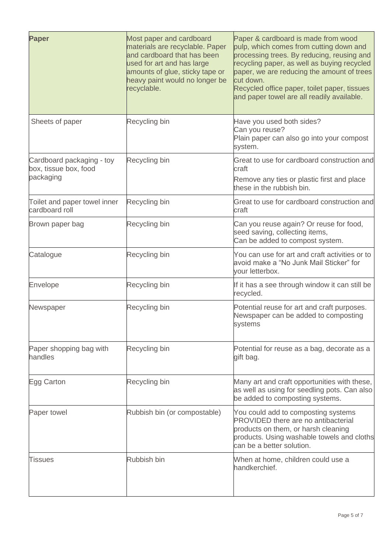| <b>Paper</b>                                                    | Most paper and cardboard<br>materials are recyclable. Paper<br>and cardboard that has been<br>used for art and has large<br>amounts of glue, sticky tape or<br>heavy paint would no longer be<br>recyclable. | Paper & cardboard is made from wood<br>pulp, which comes from cutting down and<br>processing trees. By reducing, reusing and<br>recycling paper, as well as buying recycled<br>paper, we are reducing the amount of trees<br>cut down.<br>Recycled office paper, toilet paper, tissues<br>and paper towel are all readily available. |
|-----------------------------------------------------------------|--------------------------------------------------------------------------------------------------------------------------------------------------------------------------------------------------------------|--------------------------------------------------------------------------------------------------------------------------------------------------------------------------------------------------------------------------------------------------------------------------------------------------------------------------------------|
| Sheets of paper                                                 | Recycling bin                                                                                                                                                                                                | Have you used both sides?<br>Can you reuse?<br>Plain paper can also go into your compost<br>system.                                                                                                                                                                                                                                  |
| Cardboard packaging - toy<br>box, tissue box, food<br>packaging | Recycling bin                                                                                                                                                                                                | Great to use for cardboard construction and<br>craft<br>Remove any ties or plastic first and place<br>these in the rubbish bin.                                                                                                                                                                                                      |
| Toilet and paper towel inner<br>cardboard roll                  | Recycling bin                                                                                                                                                                                                | Great to use for cardboard construction and<br>craft                                                                                                                                                                                                                                                                                 |
| Brown paper bag                                                 | Recycling bin                                                                                                                                                                                                | Can you reuse again? Or reuse for food,<br>seed saving, collecting items,<br>Can be added to compost system.                                                                                                                                                                                                                         |
| Catalogue                                                       | Recycling bin                                                                                                                                                                                                | You can use for art and craft activities or to<br>avoid make a "No Junk Mail Sticker" for<br>your letterbox.                                                                                                                                                                                                                         |
| Envelope                                                        | Recycling bin                                                                                                                                                                                                | If it has a see through window it can still be<br>recycled.                                                                                                                                                                                                                                                                          |
| Newspaper                                                       | Recycling bin                                                                                                                                                                                                | Potential reuse for art and craft purposes.<br>Newspaper can be added to composting<br>systems                                                                                                                                                                                                                                       |
| Paper shopping bag with<br>handles                              | Recycling bin                                                                                                                                                                                                | Potential for reuse as a bag, decorate as a<br>gift bag.                                                                                                                                                                                                                                                                             |
| Egg Carton                                                      | Recycling bin                                                                                                                                                                                                | Many art and craft opportunities with these,<br>as well as using for seedling pots. Can also<br>be added to composting systems.                                                                                                                                                                                                      |
| Paper towel                                                     | Rubbish bin (or compostable)                                                                                                                                                                                 | You could add to composting systems<br><b>PROVIDED</b> there are no antibacterial<br>products on them, or harsh cleaning<br>products. Using washable towels and cloths<br>can be a better solution.                                                                                                                                  |
| Tissues                                                         | Rubbish bin                                                                                                                                                                                                  | When at home, children could use a<br>handkerchief.                                                                                                                                                                                                                                                                                  |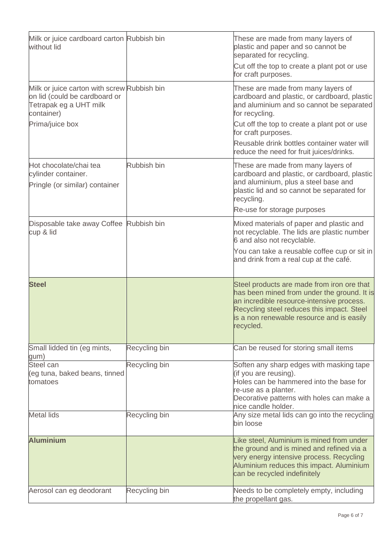| Milk or juice cardboard carton Rubbish bin<br>without lid                                                                               |               | These are made from many layers of<br>plastic and paper and so cannot be<br>separated for recycling.<br>Cut off the top to create a plant pot or use<br>for craft purposes.                                                                                                                                        |
|-----------------------------------------------------------------------------------------------------------------------------------------|---------------|--------------------------------------------------------------------------------------------------------------------------------------------------------------------------------------------------------------------------------------------------------------------------------------------------------------------|
| Milk or juice carton with screw Rubbish bin<br>on lid (could be cardboard or<br>Tetrapak eg a UHT milk<br>container)<br>Prima/juice box |               | These are made from many layers of<br>cardboard and plastic, or cardboard, plastic<br>and aluminium and so cannot be separated<br>for recycling.<br>Cut off the top to create a plant pot or use<br>for craft purposes.<br>Reusable drink bottles container water will<br>reduce the need for fruit juices/drinks. |
| Hot chocolate/chai tea<br>cylinder container.<br>Pringle (or similar) container                                                         | Rubbish bin   | These are made from many layers of<br>cardboard and plastic, or cardboard, plastic<br>and aluminium, plus a steel base and<br>plastic lid and so cannot be separated for<br>recycling.<br>Re-use for storage purposes                                                                                              |
| Disposable take away Coffee Rubbish bin<br>cup & lid                                                                                    |               | Mixed materials of paper and plastic and<br>not recyclable. The lids are plastic number<br>6 and also not recyclable.<br>You can take a reusable coffee cup or sit in<br>and drink from a real cup at the café.                                                                                                    |
| <b>Steel</b>                                                                                                                            |               | Steel products are made from iron ore that<br>has been mined from under the ground. It is<br>an incredible resource-intensive process.<br>Recycling steel reduces this impact. Steel<br>is a non renewable resource and is easily<br>recycled.                                                                     |
| Small lidded tin (eg mints,<br>gum)                                                                                                     | Recycling bin | Can be reused for storing small items                                                                                                                                                                                                                                                                              |
| Steel can<br>(eg tuna, baked beans, tinned<br>tomatoes                                                                                  | Recycling bin | Soften any sharp edges with masking tape<br>(if you are reusing).<br>Holes can be hammered into the base for<br>re-use as a planter.<br>Decorative patterns with holes can make a<br>nice candle holder.                                                                                                           |
| <b>Metal lids</b>                                                                                                                       | Recycling bin | Any size metal lids can go into the recycling<br>bin loose                                                                                                                                                                                                                                                         |
| <b>Aluminium</b>                                                                                                                        |               | Like steel, Aluminium is mined from under<br>the ground and is mined and refined via a<br>very energy intensive process. Recycling<br>Aluminium reduces this impact. Aluminium<br>can be recycled indefinitely                                                                                                     |
| Aerosol can eg deodorant                                                                                                                | Recycling bin | Needs to be completely empty, including<br>the propellant gas.                                                                                                                                                                                                                                                     |